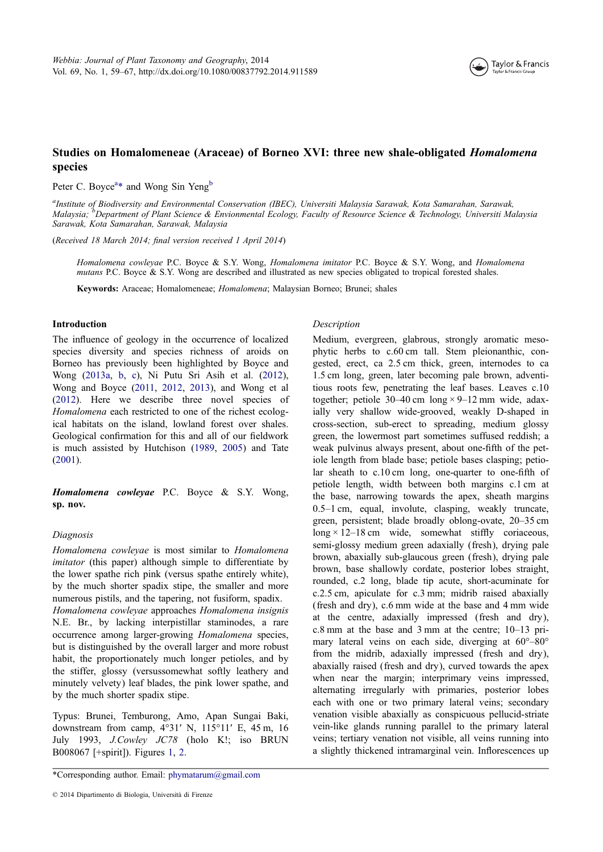

# Studies on Homalomeneae (Araceae) of Borneo XVI: three new shale-obligated Homalomena species

Peter C. Boyce<sup>a\*</sup> and Wong Sin Yeng<sup>b</sup>

a<br>Institute of Biodiversity and Environmental Conservation (IBEC), Universiti Malaysia Sarawak, Kota Samarahan, Sarawak, Malaysia; <sup>b</sup>Department of Plant Science & Envionmental Ecology, Faculty of Resource Science & Technology, Universiti Malaysia Sarawak, Kota Samarahan, Sarawak, Malaysia

(Received 18 March 2014; final version received 1 April 2014)

Homalomena cowleyae P.C. Boyce & S.Y. Wong, Homalomena imitator P.C. Boyce & S.Y. Wong, and Homalomena mutans P.C. Boyce & S.Y. Wong are described and illustrated as new species obligated to tropical forested shales.

Keywords: Araceae; Homalomeneae; Homalomena; Malaysian Borneo; Brunei; shales

# Introduction

The influence of geology in the occurrence of localized species diversity and species richness of aroids on Borneo has previously been highlighted by Boyce and Wong (2013a, b, c), Ni Putu Sri Asih et al. (2012), Wong and Boyce (2011, 2012, 2013), and Wong et al (2012). Here we describe three novel species of Homalomena each restricted to one of the richest ecological ha[bitats on](#page-7-0) th[e](#page-8-0) island, lowland forest over [shales](#page-7-0). Geological confirm[ation](#page-8-0) f[or this](#page-8-0) [and a](#page-8-0)ll of our fieldwork i[s mu](#page-8-0)ch assisted by Hutchison (1989, 2005) and Tate (2001).

Homalomena cowleyae P.C. B[oyce](#page-8-0) [& S.](#page-8-0)Y. Wong, [sp. no](#page-8-0)v.

#### Diagnosis

Homalomena cowleyae is most similar to Homalomena imitator (this paper) although simple to differentiate by the lower spathe rich pink (versus spathe entirely white), by the much shorter spadix stipe, the smaller and more numerous pistils, and the tapering, not fusiform, spadix. Homalomena cowleyae approaches Homalomena insignis N.E. Br., by lacking interpistillar staminodes, a rare occurrence among larger-growing Homalomena species, but is distinguished by the overall larger and more robust habit, the proportionately much longer petioles, and by the stiffer, glossy (versussomewhat softly leathery and minutely velvety) leaf blades, the pink lower spathe, and by the much shorter spadix stipe.

Typus: Brunei, Temburong, Amo, Apan Sungai Baki, downstream from camp, 4°31ʹ N, 115°11ʹ E, 45 m, 16 July 1993, J.Cowley JC78 (holo K!; iso BRUN B008067 [+spirit]). Figures 1, 2.

\*Corresponding author. Email: phymatarum@gmail.com

#### Description

Medium, evergreen, glabrous, strongly aromatic mesophytic herbs to c.60 cm tall. Stem pleionanthic, congested, erect, ca 2.5 cm thick, green, internodes to ca 1.5 cm long, green, later becoming pale brown, adventitious roots few, penetrating the leaf bases. Leaves c.10 together; petiole  $30-40$  cm long  $\times$  9-12 mm wide, adaxially very shallow wide-grooved, weakly D-shaped in cross-section, sub-erect to spreading, medium glossy green, the lowermost part sometimes suffused reddish; a weak pulvinus always present, about one-fifth of the petiole length from blade base; petiole bases clasping; petiolar sheath to c.10 cm long, one-quarter to one-fifth of petiole length, width between both margins c.1 cm at the base, narrowing towards the apex, sheath margins 0.5–1 cm, equal, involute, clasping, weakly truncate, green, persistent; blade broadly oblong-ovate, 20–35 cm long  $\times$  12–18 cm wide, somewhat stiffly coriaceous, semi-glossy medium green adaxially (fresh), drying pale brown, abaxially sub-glaucous green (fresh), drying pale brown, base shallowly cordate, posterior lobes straight, rounded, c.2 long, blade tip acute, short-acuminate for c.2.5 cm, apiculate for c.3 mm; midrib raised abaxially (fresh and dry), c.6 mm wide at the base and 4 mm wide at the centre, adaxially impressed (fresh and dry), c.8 mm at the base and 3 mm at the centre; 10–13 primary lateral veins on each side, diverging at 60°–80° from the midrib, adaxially impressed (fresh and dry), abaxially raised (fresh and dry), curved towards the apex when near the margin; interprimary veins impressed, alternating irregularly with primaries, posterior lobes each with one or two primary lateral veins; secondary venation visible abaxially as conspicuous pellucid-striate vein-like glands running parallel to the primary lateral veins; tertiary venation not visible, all veins running into a slightly thickened intramarginal vein. Inflorescences up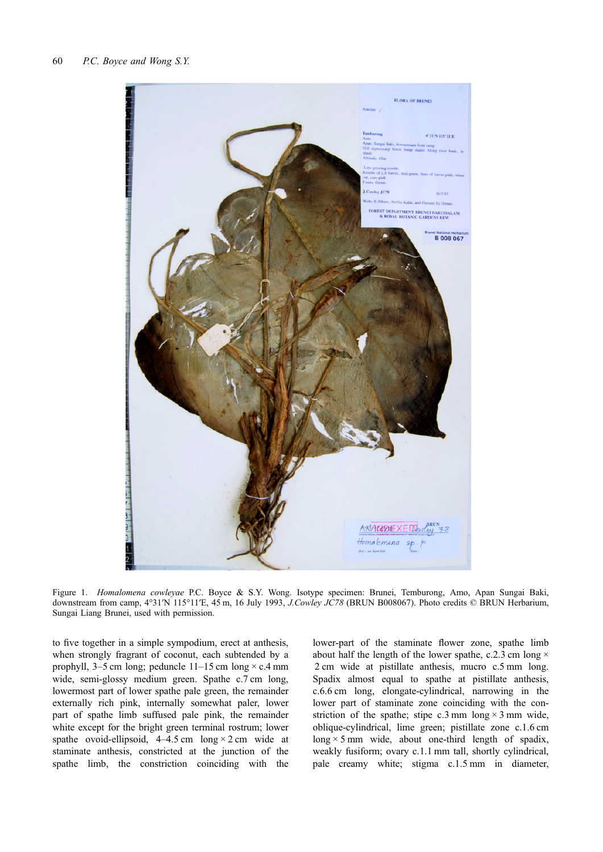<span id="page-1-0"></span>

Figure 1. Homalomena cowleyae P.C. Boyce & S.Y. Wong. Isotype specimen: Brunei, Temburong, Amo, Apan Sungai Baki, downstream from camp, 4°31′N 115°11′E, 45 m, 16 July 1993, *J.Cowley JC78* (BRUN B008067). Photo credits © BRUN Herbarium, Sungai Liang Brunei, used with permission.

to five together in a simple sympodium, erect at anthesis, when strongly fragrant of coconut, each subtended by a prophyll,  $3-5$  cm long; peduncle  $11-15$  cm long  $\times$  c.4 mm wide, semi-glossy medium green. Spathe c.7 cm long, lowermost part of lower spathe pale green, the remainder externally rich pink, internally somewhat paler, lower part of spathe limb suffused pale pink, the remainder white except for the bright green terminal rostrum; lower spathe ovoid-ellipsoid,  $4-4.5$  cm long  $\times$  2 cm wide at staminate anthesis, constricted at the junction of the spathe limb, the constriction coinciding with the

lower-part of the staminate flower zone, spathe limb about half the length of the lower spathe, c.2.3 cm long  $\times$ 2 cm wide at pistillate anthesis, mucro c.5 mm long. Spadix almost equal to spathe at pistillate anthesis, c.6.6 cm long, elongate-cylindrical, narrowing in the lower part of staminate zone coinciding with the constriction of the spathe; stipe c.3 mm long  $\times$  3 mm wide, oblique-cylindrical, lime green; pistillate zone c.1.6 cm long  $\times$  5 mm wide, about one-third length of spadix, weakly fusiform; ovary c.1.1 mm tall, shortly cylindrical, pale creamy white; stigma c.1.5 mm in diameter,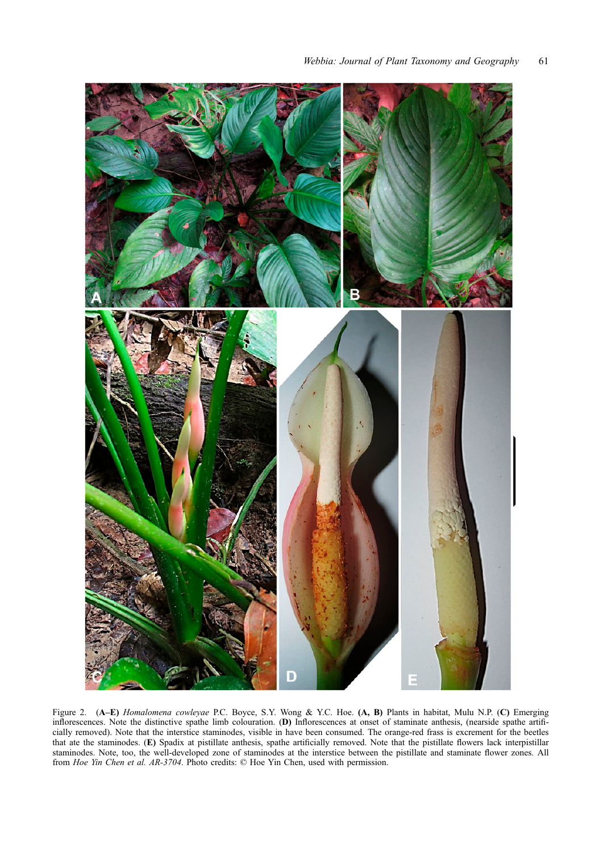<span id="page-2-0"></span>

Figure 2. (A–E) Homalomena cowleyae P.C. Boyce, S.Y. Wong & Y.C. Hoe. (A, B) Plants in habitat, Mulu N.P. (C) Emerging inflorescences. Note the distinctive spathe limb colouration. (D) Inflorescences at onset of staminate anthesis, (nearside spathe artificially removed). Note that the interstice staminodes, visible in have been consumed. The orange-red frass is excrement for the beetles that ate the staminodes. (E) Spadix at pistillate anthesis, spathe artificially removed. Note that the pistillate flowers lack interpistillar staminodes. Note, too, the well-developed zone of staminodes at the interstice between the pistillate and staminate flower zones. All from Hoe Yin Chen et al. AR-3704. Photo credits: © Hoe Yin Chen, used with permission.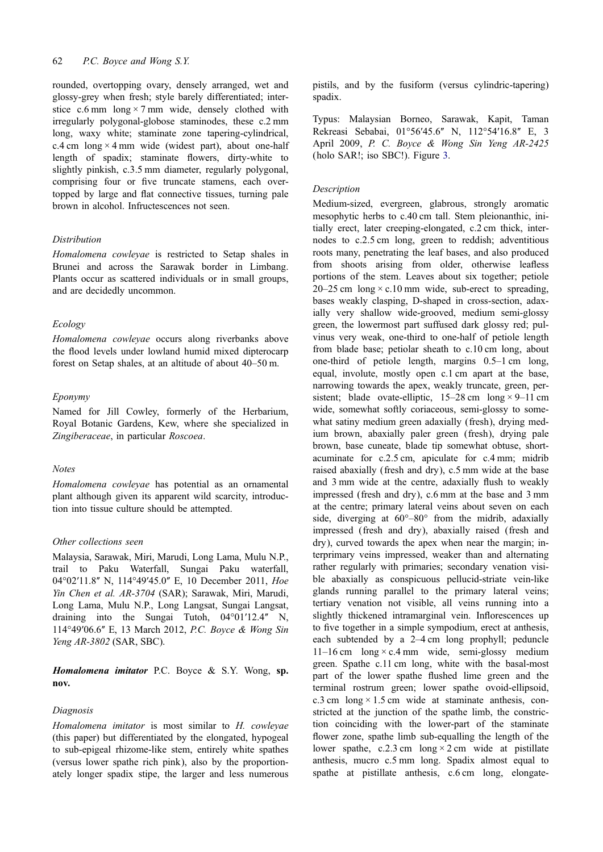rounded, overtopping ovary, densely arranged, wet and glossy-grey when fresh; style barely differentiated; interstice c.6 mm  $\log \times 7$  mm wide, densely clothed with irregularly polygonal-globose staminodes, these c.2 mm long, waxy white; staminate zone tapering-cylindrical, c.4 cm  $\log$  × 4 mm wide (widest part), about one-half length of spadix; staminate flowers, dirty-white to slightly pinkish, c.3.5 mm diameter, regularly polygonal, comprising four or five truncate stamens, each overtopped by large and flat connective tissues, turning pale brown in alcohol. Infructescences not seen.

# Distribution

Homalomena cowleyae is restricted to Setap shales in Brunei and across the Sarawak border in Limbang. Plants occur as scattered individuals or in small groups, and are decidedly uncommon.

# Ecology

Homalomena cowleyae occurs along riverbanks above the flood levels under lowland humid mixed dipterocarp forest on Setap shales, at an altitude of about 40–50 m.

#### Eponymy

Named for Jill Cowley, formerly of the Herbarium, Royal Botanic Gardens, Kew, where she specialized in Zingiberaceae, in particular Roscoea.

# Notes

Homalomena cowleyae has potential as an ornamental plant although given its apparent wild scarcity, introduction into tissue culture should be attempted.

# Other collections seen

Malaysia, Sarawak, Miri, Marudi, Long Lama, Mulu N.P., trail to Paku Waterfall, Sungai Paku waterfall, 04°02'11.8" N, 114°49'45.0" E, 10 December 2011, *Hoe* Yin Chen et al. AR-3704 (SAR); Sarawak, Miri, Marudi, Long Lama, Mulu N.P., Long Langsat, Sungai Langsat, draining into the Sungai Tutoh, 04°01'12.4" N, 114°49′06.6" E, 13 March 2012, P.C. Boyce & Wong Sin Yeng AR-3802 (SAR, SBC).

Homalomena imitator P.C. Boyce & S.Y. Wong, sp. nov.

#### Diagnosis

Homalomena imitator is most similar to H. cowleyae (this paper) but differentiated by the elongated, hypogeal to sub-epigeal rhizome-like stem, entirely white spathes (versus lower spathe rich pink), also by the proportionately longer spadix stipe, the larger and less numerous pistils, and by the fusiform (versus cylindric-tapering) spadix.

Typus: Malaysian Borneo, Sarawak, Kapit, Taman Rekreasi Sebabai, 01°56ʹ45.6ʺ N, 112°54ʹ16.8ʺ E, 3 April 2009, P. C. Boyce & Wong Sin Yeng AR-2425 (holo SAR!; iso SBC!). Figure 3.

# **Description**

Medium-sized, evergreen, gla[br](#page-4-0)ous, strongly aromatic mesophytic herbs to c.40 cm tall. Stem pleionanthic, initially erect, later creeping-elongated, c.2 cm thick, internodes to c.2.5 cm long, green to reddish; adventitious roots many, penetrating the leaf bases, and also produced from shoots arising from older, otherwise leafless portions of the stem. Leaves about six together; petiole  $20-25$  cm long  $\times$  c.10 mm wide, sub-erect to spreading, bases weakly clasping, D-shaped in cross-section, adaxially very shallow wide-grooved, medium semi-glossy green, the lowermost part suffused dark glossy red; pulvinus very weak, one-third to one-half of petiole length from blade base; petiolar sheath to c.10 cm long, about one-third of petiole length, margins 0.5–1 cm long, equal, involute, mostly open c.1 cm apart at the base, narrowing towards the apex, weakly truncate, green, persistent; blade ovate-elliptic,  $15-28$  cm long  $\times$  9–11 cm wide, somewhat softly coriaceous, semi-glossy to somewhat satiny medium green adaxially (fresh), drying medium brown, abaxially paler green (fresh), drying pale brown, base cuneate, blade tip somewhat obtuse, shortacuminate for c.2.5 cm, apiculate for c.4 mm; midrib raised abaxially (fresh and dry), c.5 mm wide at the base and 3 mm wide at the centre, adaxially flush to weakly impressed (fresh and dry), c.6 mm at the base and 3 mm at the centre; primary lateral veins about seven on each side, diverging at  $60^{\circ} - 80^{\circ}$  from the midrib, adaxially impressed (fresh and dry), abaxially raised (fresh and dry), curved towards the apex when near the margin; interprimary veins impressed, weaker than and alternating rather regularly with primaries; secondary venation visible abaxially as conspicuous pellucid-striate vein-like glands running parallel to the primary lateral veins; tertiary venation not visible, all veins running into a slightly thickened intramarginal vein. Inflorescences up to five together in a simple sympodium, erect at anthesis, each subtended by a 2–4 cm long prophyll; peduncle  $11-16$  cm long  $\times$  c.4 mm wide, semi-glossy medium green. Spathe c.11 cm long, white with the basal-most part of the lower spathe flushed lime green and the terminal rostrum green; lower spathe ovoid-ellipsoid, c.3 cm  $\log \times 1.5$  cm wide at staminate anthesis, constricted at the junction of the spathe limb, the constriction coinciding with the lower-part of the staminate flower zone, spathe limb sub-equalling the length of the lower spathe, c.2.3 cm long  $\times$  2 cm wide at pistillate anthesis, mucro c.5 mm long. Spadix almost equal to spathe at pistillate anthesis, c.6 cm long, elongate-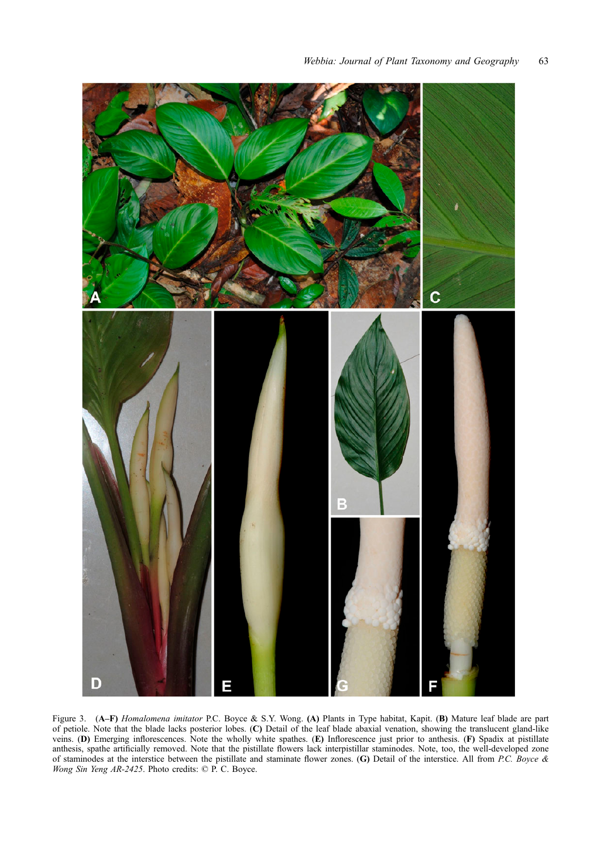<span id="page-4-0"></span>

Figure 3. (A–F) Homalomena imitator P.C. Boyce & S.Y. Wong. (A) Plants in Type habitat, Kapit. (B) Mature leaf blade are part of petiole. Note that the blade lacks posterior lobes. (C) Detail of the leaf blade abaxial venation, showing the translucent gland-like veins. (D) Emerging inflorescences. Note the wholly white spathes. (E) Inflorescence just prior to anthesis. (F) Spadix at pistillate anthesis, spathe artificially removed. Note that the pistillate flowers lack interpistillar staminodes. Note, too, the well-developed zone of staminodes at the interstice between the pistillate and staminate flower zones. (G) Detail of the interstice. All from P.C. Boyce & Wong Sin Yeng AR-2425. Photo credits: © P. C. Boyce.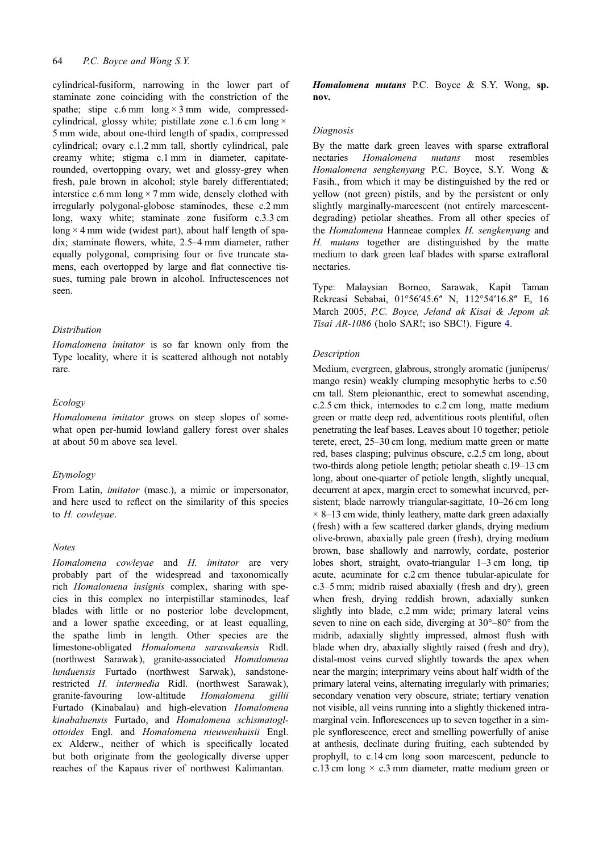cylindrical-fusiform, narrowing in the lower part of staminate zone coinciding with the constriction of the spathe; stipe  $c.6$  mm long  $\times$  3 mm wide, compressedcylindrical, glossy white; pistillate zone c.1.6 cm long  $\times$ 5 mm wide, about one-third length of spadix, compressed cylindrical; ovary c.1.2 mm tall, shortly cylindrical, pale creamy white; stigma c.1 mm in diameter, capitaterounded, overtopping ovary, wet and glossy-grey when fresh, pale brown in alcohol; style barely differentiated; interstice c.6 mm long  $\times$  7 mm wide, densely clothed with irregularly polygonal-globose staminodes, these c.2 mm long, waxy white; staminate zone fusiform c.3.3 cm long  $\times$  4 mm wide (widest part), about half length of spadix; staminate flowers, white, 2.5–4 mm diameter, rather equally polygonal, comprising four or five truncate stamens, each overtopped by large and flat connective tissues, turning pale brown in alcohol. Infructescences not seen.

# Distribution

Homalomena imitator is so far known only from the Type locality, where it is scattered although not notably rare.

# Ecology

Homalomena imitator grows on steep slopes of somewhat open per-humid lowland gallery forest over shales at about 50 m above sea level.

# Etymology

From Latin, imitator (masc.), a mimic or impersonator, and here used to reflect on the similarity of this species to H. cowleyae.

# **Notes**

Homalomena cowleyae and H. imitator are very probably part of the widespread and taxonomically rich Homalomena insignis complex, sharing with species in this complex no interpistillar staminodes, leaf blades with little or no posterior lobe development, and a lower spathe exceeding, or at least equalling, the spathe limb in length. Other species are the limestone-obligated Homalomena sarawakensis Ridl. (northwest Sarawak), granite-associated Homalomena lunduensis Furtado (northwest Sarwak), sandstonerestricted H. intermedia Ridl. (northwest Sarawak), granite-favouring low-altitude Homalomena gillii Furtado (Kinabalau) and high-elevation Homalomena kinabaluensis Furtado, and Homalomena schismatoglottoides Engl. and Homalomena nieuwenhuisii Engl. ex Alderw., neither of which is specifically located but both originate from the geologically diverse upper reaches of the Kapaus river of northwest Kalimantan.

Homalomena mutans P.C. Boyce & S.Y. Wong, sp. nov.

#### Diagnosis

By the matte dark green leaves with sparse extrafloral nectaries Homalomena mutans most resembles Homalomena sengkenyang P.C. Boyce, S.Y. Wong & Fasih., from which it may be distinguished by the red or yellow (not green) pistils, and by the persistent or only slightly marginally-marcescent (not entirely marcescentdegrading) petiolar sheathes. From all other species of the Homalomena Hanneae complex H. sengkenyang and H. mutans together are distinguished by the matte medium to dark green leaf blades with sparse extrafloral nectaries.

Type: Malaysian Borneo, Sarawak, Kapit Taman Rekreasi Sebabai, 01°56ʹ45.6ʺ N, 112°54ʹ16.8ʺ E, 16 March 2005, P.C. Boyce, Jeland ak Kisai & Jepom ak Tisai AR-1086 (holo SAR!; iso SBC!). Figure 4.

#### Description

Medium, evergreen, glabrous, strongly aromatic [\(](#page-6-0)juniperus/ mango resin) weakly clumping mesophytic herbs to c.50 cm tall. Stem pleionanthic, erect to somewhat ascending, c.2.5 cm thick, internodes to c.2 cm long, matte medium green or matte deep red, adventitious roots plentiful, often penetrating the leaf bases. Leaves about 10 together; petiole terete, erect, 25–30 cm long, medium matte green or matte red, bases clasping; pulvinus obscure, c.2.5 cm long, about two-thirds along petiole length; petiolar sheath c.19–13 cm long, about one-quarter of petiole length, slightly unequal, decurrent at apex, margin erect to somewhat incurved, persistent; blade narrowly triangular-sagittate, 10–26 cm long  $\times$  8–13 cm wide, thinly leathery, matte dark green adaxially (fresh) with a few scattered darker glands, drying medium olive-brown, abaxially pale green (fresh), drying medium brown, base shallowly and narrowly, cordate, posterior lobes short, straight, ovato-triangular 1–3 cm long, tip acute, acuminate for c.2 cm thence tubular-apiculate for c.3–5 mm; midrib raised abaxially (fresh and dry), green when fresh, drying reddish brown, adaxially sunken slightly into blade, c.2 mm wide; primary lateral veins seven to nine on each side, diverging at 30°–80° from the midrib, adaxially slightly impressed, almost flush with blade when dry, abaxially slightly raised (fresh and dry), distal-most veins curved slightly towards the apex when near the margin; interprimary veins about half width of the primary lateral veins, alternating irregularly with primaries; secondary venation very obscure, striate; tertiary venation not visible, all veins running into a slightly thickened intramarginal vein. Inflorescences up to seven together in a simple synflorescence, erect and smelling powerfully of anise at anthesis, declinate during fruiting, each subtended by prophyll, to c.14 cm long soon marcescent, peduncle to c.13 cm long  $\times$  c.3 mm diameter, matte medium green or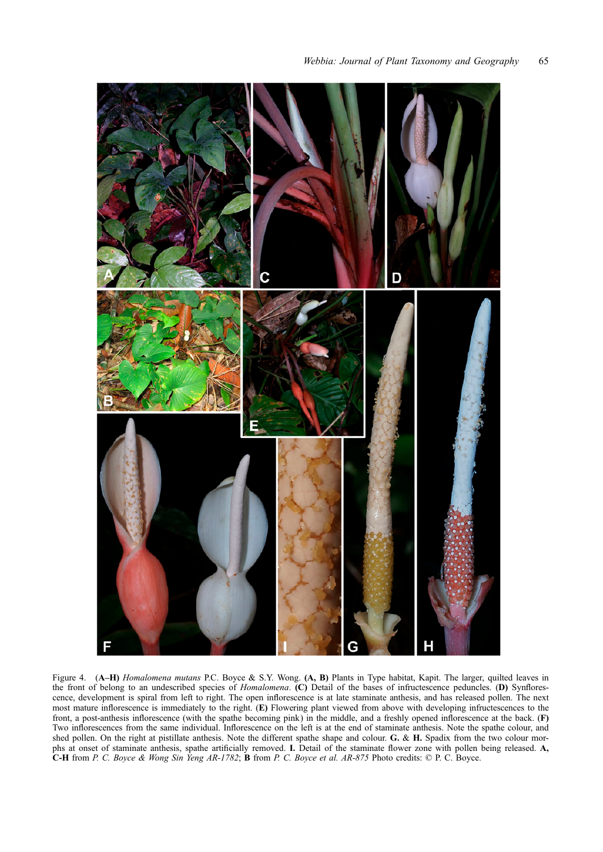<span id="page-6-0"></span>

Figure 4. (A–H) Homalomena mutans P.C. Boyce & S.Y. Wong. (A, B) Plants in Type habitat, Kapit. The larger, quilted leaves in the front of belong to an undescribed species of *Homalomena*. (C) Detail of the bases of infructescence peduncles. (D) Synflorescence, development is spiral from left to right. The open inflorescence is at late staminate anthesis, and has released pollen. The next most mature inflorescence is immediately to the right. (E) Flowering plant viewed from above with developing infructescences to the front, a post-anthesis inflorescence (with the spathe becoming pink) in the middle, and a freshly opened inflorescence at the back. (F) Two inflorescences from the same individual. Inflorescence on the left is at the end of staminate anthesis. Note the spathe colour, and shed pollen. On the right at pistillate anthesis. Note the different spathe shape and colour. G. & H. Spadix from the two colour morphs at onset of staminate anthesis, spathe artificially removed. I. Detail of the staminate flower zone with pollen being released. A, C-H from P. C. Boyce & Wong Sin Yeng AR-1782; B from P. C. Boyce et al. AR-875 Photo credits: © P. C. Boyce.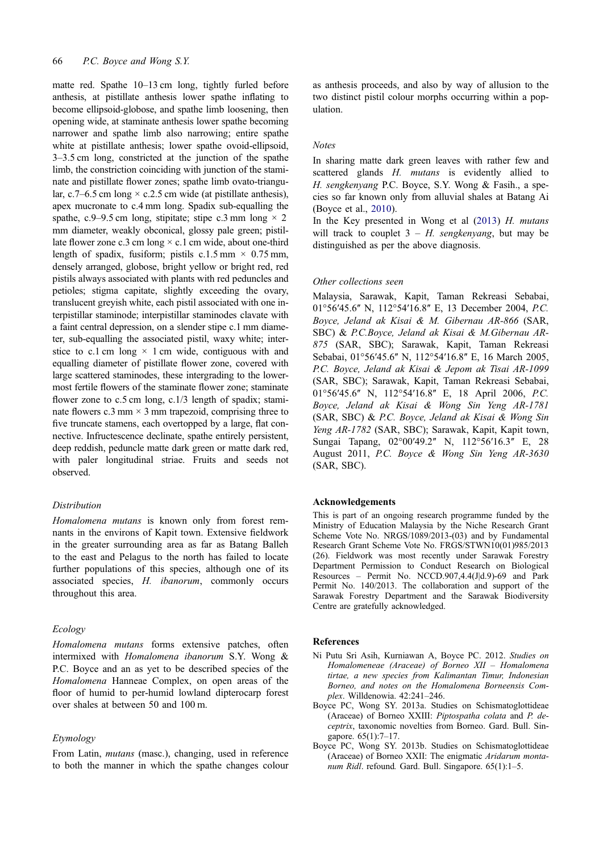<span id="page-7-0"></span>matte red. Spathe 10–13 cm long, tightly furled before anthesis, at pistillate anthesis lower spathe inflating to become ellipsoid-globose, and spathe limb loosening, then opening wide, at staminate anthesis lower spathe becoming narrower and spathe limb also narrowing; entire spathe white at pistillate anthesis; lower spathe ovoid-ellipsoid, 3–3.5 cm long, constricted at the junction of the spathe limb, the constriction coinciding with junction of the staminate and pistillate flower zones; spathe limb ovato-triangular, c.7–6.5 cm long  $\times$  c.2.5 cm wide (at pistillate anthesis), apex mucronate to c.4 mm long. Spadix sub-equalling the spathe, c.9–9.5 cm long, stipitate; stipe c.3 mm long  $\times$  2 mm diameter, weakly obconical, glossy pale green; pistillate flower zone c.3 cm long  $\times$  c.1 cm wide, about one-third length of spadix, fusiform; pistils c.1.5 mm  $\times$  0.75 mm, densely arranged, globose, bright yellow or bright red, red pistils always associated with plants with red peduncles and petioles; stigma capitate, slightly exceeding the ovary, translucent greyish white, each pistil associated with one interpistillar staminode; interpistillar staminodes clavate with a faint central depression, on a slender stipe c.1 mm diameter, sub-equalling the associated pistil, waxy white; interstice to c.1 cm long  $\times$  1 cm wide, contiguous with and equalling diameter of pistillate flower zone, covered with large scattered staminodes, these intergrading to the lowermost fertile flowers of the staminate flower zone; staminate flower zone to c.5 cm long, c.1/3 length of spadix; staminate flowers c.3 mm  $\times$  3 mm trapezoid, comprising three to five truncate stamens, each overtopped by a large, flat connective. Infructescence declinate, spathe entirely persistent, deep reddish, peduncle matte dark green or matte dark red, with paler longitudinal striae. Fruits and seeds not observed.

#### Distribution

Homalomena mutans is known only from forest remnants in the environs of Kapit town. Extensive fieldwork in the greater surrounding area as far as Batang Balleh to the east and Pelagus to the north has failed to locate further populations of this species, although one of its associated species, H. ibanorum, commonly occurs throughout this area.

#### Ecology

Homalomena mutans forms extensive patches, often intermixed with Homalomena ibanorum S.Y. Wong & P.C. Boyce and an as yet to be described species of the Homalomena Hanneae Complex, on open areas of the floor of humid to per-humid lowland dipterocarp forest over shales at between 50 and 100 m.

# Etymology

From Latin, mutans (masc.), changing, used in reference to both the manner in which the spathe changes colour as anthesis proceeds, and also by way of allusion to the two distinct pistil colour morphs occurring within a population.

#### Notes

In sharing matte dark green leaves with rather few and scattered glands H. mutans is evidently allied to H. sengkenyang P.C. Boyce, S.Y. Wong & Fasih., a species so far known only from alluvial shales at Batang Ai (Boyce et al., 2010).

In the Key presented in Wong et al  $(2013)$  H. mutans will track to couplet  $3 - H$ . sengkenyang, but may be distinguished as per the above diagnosis.

#### Other collections seen

Malaysia, Sarawak, Kapit, Taman Rekreasi Sebabai, 01°56′45.6" N, 112°54′16.8" E, 13 December 2004, P.C. Boyce, Jeland ak Kisai & M. Gibernau AR-866 (SAR, SBC) & P.C.Boyce, Jeland ak Kisai & M.Gibernau AR-875 (SAR, SBC); Sarawak, Kapit, Taman Rekreasi Sebabai, 01°56'45.6" N, 112°54'16.8" E, 16 March 2005, P.C. Boyce, Jeland ak Kisai & Jepom ak Tisai AR-1099 (SAR, SBC); Sarawak, Kapit, Taman Rekreasi Sebabai, 01°56'45.6" N, 112°54'16.8" E, 18 April 2006, P.C. Boyce, Jeland ak Kisai & Wong Sin Yeng AR-1781 (SAR, SBC) & P.C. Boyce, Jeland ak Kisai & Wong Sin Yeng AR-1782 (SAR, SBC); Sarawak, Kapit, Kapit town, Sungai Tapang, 02°00'49.2" N, 112°56'16.3" E, 28 August 2011, P.C. Boyce & Wong Sin Yeng AR-3630 (SAR, SBC).

## Acknowledgements

This is part of an ongoing research programme funded by the Ministry of Education Malaysia by the Niche Research Grant Scheme Vote No. NRGS/1089/2013-(03) and by Fundamental Research Grant Scheme Vote No. FRGS/STWN10(01)985/2013 (26). Fieldwork was most recently under Sarawak Forestry Department Permission to Conduct Research on Biological Resources – Permit No. NCCD.907,4.4(J|d.9)-69 and Park Permit No. 140/2013. The collaboration and support of the Sarawak Forestry Department and the Sarawak Biodiversity Centre are gratefully acknowledged.

#### References

- Ni Putu Sri Asih, Kurniawan A, Boyce PC. 2012. Studies on Homalomeneae (Araceae) of Borneo XII – Homalomena tirtae, a new species from Kalimantan Timur, Indonesian Borneo, and notes on the Homalomena Borneensis Complex. Willdenowia. 42:241–246.
- Boyce PC, Wong SY. 2013a. Studies on Schismatoglottideae (Araceae) of Borneo XXIII: Piptospatha colata and P. deceptrix, taxonomic novelties from Borneo. Gard. Bull. Singapore. 65(1):7–17.
- Boyce PC, Wong SY. 2013b. Studies on Schismatoglottideae (Araceae) of Borneo XXII: The enigmatic Aridarum montanum Ridl. refound. Gard. Bull. Singapore. 65(1):1-5.